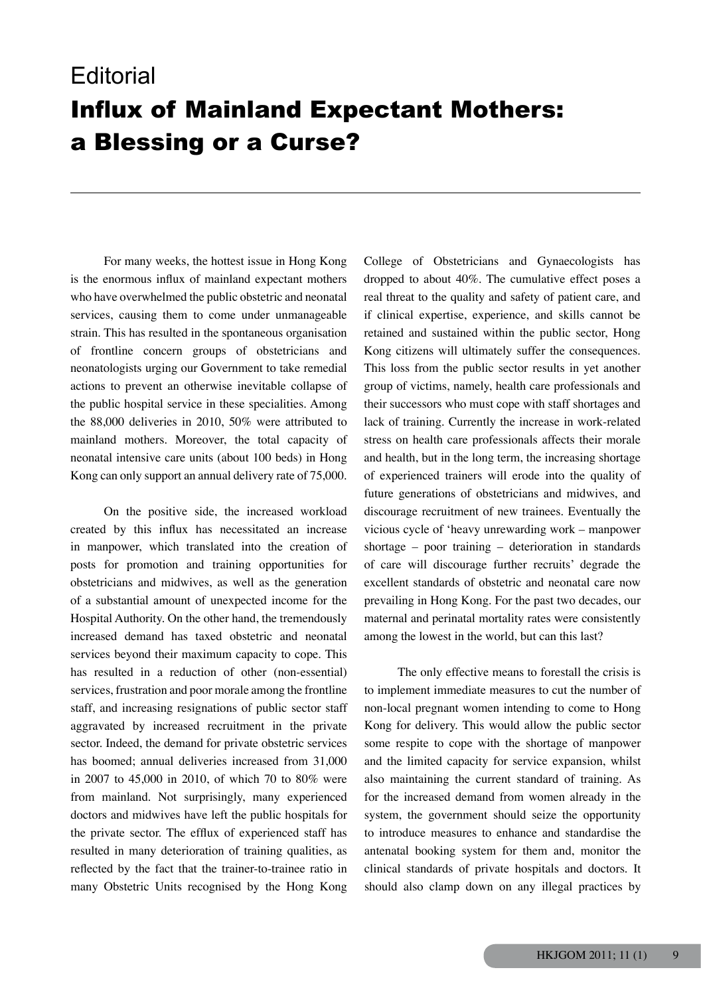## **Editorial** Influx of Mainland Expectant Mothers: a Blessing or a Curse?

 For many weeks, the hottest issue in Hong Kong is the enormous influx of mainland expectant mothers who have overwhelmed the public obstetric and neonatal services, causing them to come under unmanageable strain. This has resulted in the spontaneous organisation of frontline concern groups of obstetricians and neonatologists urging our Government to take remedial actions to prevent an otherwise inevitable collapse of the public hospital service in these specialities. Among the 88,000 deliveries in 2010, 50% were attributed to mainland mothers. Moreover, the total capacity of neonatal intensive care units (about 100 beds) in Hong Kong can only support an annual delivery rate of 75,000.

 On the positive side, the increased workload created by this influx has necessitated an increase in manpower, which translated into the creation of posts for promotion and training opportunities for obstetricians and midwives, as well as the generation of a substantial amount of unexpected income for the Hospital Authority. On the other hand, the tremendously increased demand has taxed obstetric and neonatal services beyond their maximum capacity to cope. This has resulted in a reduction of other (non-essential) services, frustration and poor morale among the frontline staff, and increasing resignations of public sector staff aggravated by increased recruitment in the private sector. Indeed, the demand for private obstetric services has boomed; annual deliveries increased from 31,000 in 2007 to 45,000 in 2010, of which 70 to 80% were from mainland. Not surprisingly, many experienced doctors and midwives have left the public hospitals for the private sector. The efflux of experienced staff has resulted in many deterioration of training qualities, as reflected by the fact that the trainer-to-trainee ratio in many Obstetric Units recognised by the Hong Kong College of Obstetricians and Gynaecologists has dropped to about 40%. The cumulative effect poses a real threat to the quality and safety of patient care, and if clinical expertise, experience, and skills cannot be retained and sustained within the public sector, Hong Kong citizens will ultimately suffer the consequences. This loss from the public sector results in yet another group of victims, namely, health care professionals and their successors who must cope with staff shortages and lack of training. Currently the increase in work-related stress on health care professionals affects their morale and health, but in the long term, the increasing shortage of experienced trainers will erode into the quality of future generations of obstetricians and midwives, and discourage recruitment of new trainees. Eventually the vicious cycle of 'heavy unrewarding work – manpower shortage – poor training – deterioration in standards of care will discourage further recruits' degrade the excellent standards of obstetric and neonatal care now prevailing in Hong Kong. For the past two decades, our maternal and perinatal mortality rates were consistently among the lowest in the world, but can this last?

 The only effective means to forestall the crisis is to implement immediate measures to cut the number of non-local pregnant women intending to come to Hong Kong for delivery. This would allow the public sector some respite to cope with the shortage of manpower and the limited capacity for service expansion, whilst also maintaining the current standard of training. As for the increased demand from women already in the system, the government should seize the opportunity to introduce measures to enhance and standardise the antenatal booking system for them and, monitor the clinical standards of private hospitals and doctors. It should also clamp down on any illegal practices by